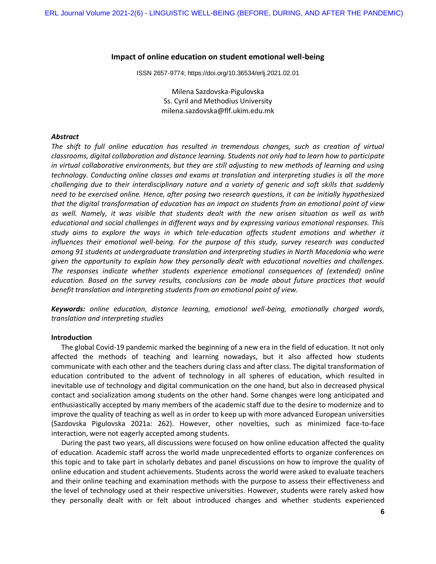# **Impact of online education on student emotional well-being**

ISSN 2657-9774; https://doi.org/10.36534/erlj.2021.02.01

Milena Sazdovska-Pigulovska Ss. Cyril and Methodius University [milena.sazdovska@flf.ukim.edu.mk](mailto:milena.sazdovska@flf.ukim.edu.mk)

## *Abstract*

*The shift to full online education has resulted in tremendous changes, such as creation of virtual classrooms, digital collaboration and distance learning. Students not only had to learn how to participate in virtual collaborative environments, but they are still adjusting to new methods of learning and using technology. Conducting online classes and exams at translation and interpreting studies is all the more challenging due to their interdisciplinary nature and a variety of generic and soft skills that suddenly need to be exercised online. Hence, after posing two research questions, it can be initially hypothesized that the digital transformation of education has an impact on students from an emotional point of view as well. Namely, it was visible that students dealt with the new arisen situation as well as with educational and social challenges in different ways and by expressing various emotional responses. This study aims to explore the ways in which tele-education affects student emotions and whether it influences their emotional well-being. For the purpose of this study, survey research was conducted among 91 students at undergraduate translation and interpreting studies in North Macedonia who were given the opportunity to explain how they personally dealt with educational novelties and challenges. The responses indicate whether students experience emotional consequences of (extended) online education. Based on the survey results, conclusions can be made about future practices that would benefit translation and interpreting students from an emotional point of view.* 

*Keywords: online education, distance learning, emotional well-being, emotionally charged words, translation and interpreting studies*

### **Introduction**

The global Covid-19 pandemic marked the beginning of a new era in the field of education. It not only affected the methods of teaching and learning nowadays, but it also affected how students communicate with each other and the teachers during class and after class. The digital transformation of education contributed to the advent of technology in all spheres of education, which resulted in inevitable use of technology and digital communication on the one hand, but also in decreased physical contact and socialization among students on the other hand. Some changes were long anticipated and enthusiastically accepted by many members of the academic staff due to the desire to modernize and to improve the quality of teaching as well as in order to keep up with more advanced European universities (Sazdovska Pigulovska 2021a: 262). However, other novelties, such as minimized face-to-face interaction, were not eagerly accepted among students.

During the past two years, all discussions were focused on how online education affected the quality of education. Academic staff across the world made unprecedented efforts to organize conferences on this topic and to take part in scholarly debates and panel discussions on how to improve the quality of online education and student achievements. Students across the world were asked to evaluate teachers and their online teaching and examination methods with the purpose to assess their effectiveness and the level of technology used at their respective universities. However, students were rarely asked how they personally dealt with or felt about introduced changes and whether students experienced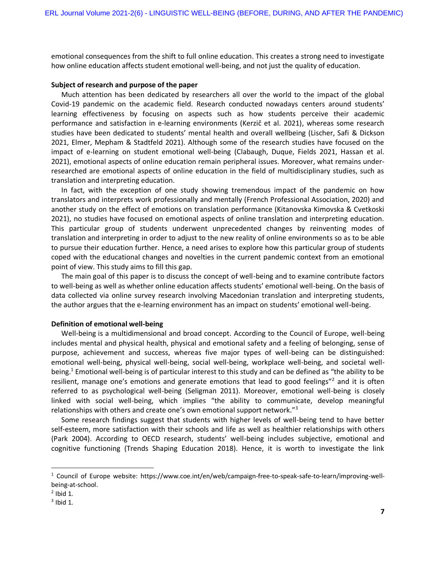emotional consequences from the shift to full online education. This creates a strong need to investigate how online education affects student emotional well-being, and not just the quality of education.

## **Subject of research and purpose of the paper**

Much attention has been dedicated by researchers all over the world to the impact of the global Covid-19 pandemic on the academic field. Research conducted nowadays centers around students' learning effectiveness by focusing on aspects such as how students perceive their academic performance and satisfaction in e-learning environments (Kerzič et al. 2021), whereas some research studies have been dedicated to students' mental health and overall wellbeing (Lischer, Safi & Dickson 2021, Elmer, Mepham & Stadtfeld 2021). Although some of the research studies have focused on the impact of e-learning on student emotional well-being (Clabaugh, Duque, Fields 2021, Hassan et al. 2021), emotional aspects of online education remain peripheral issues. Moreover, what remains underresearched are emotional aspects of online education in the field of multidisciplinary studies, such as translation and interpreting education.

In fact, with the exception of one study showing tremendous impact of the pandemic on how translators and interprets work professionally and mentally (French Professional Association, 2020) and another study on the effect of emotions on translation performance (Kitanovska Kimovska & Cvetkoski 2021), no studies have focused on emotional aspects of online translation and interpreting education. This particular group of students underwent unprecedented changes by reinventing modes of translation and interpreting in order to adjust to the new reality of online environments so as to be able to pursue their education further. Hence, a need arises to explore how this particular group of students coped with the educational changes and novelties in the current pandemic context from an emotional point of view. This study aims to fill this gap.

The main goal of this paper is to discuss the concept of well-being and to examine contribute factors to well-being as well as whether online education affects students' emotional well-being. On the basis of data collected via online survey research involving Macedonian translation and interpreting students, the author argues that the e-learning environment has an impact on students' emotional well-being.

## **Definition of emotional well-being**

Well-being is a multidimensional and broad concept. According to the Council of Europe, well-being includes mental and physical health, physical and emotional safety and a feeling of belonging, sense of purpose, achievement and success, whereas five major types of well-being can be distinguished: emotional well-being, physical well-being, social well-being, workplace well-being, and societal wellbeing.<sup>1</sup> Emotional well-being is of particular interest to this study and can be defined as "the ability to be resilient, manage one's emotions and generate emotions that lead to good feelings"<sup>2</sup> and it is often referred to as psychological well-being (Seligman 2011). Moreover, emotional well-being is closely linked with social well-being, which implies "the ability to communicate, develop meaningful relationships with others and create one's own emotional support network."<sup>3</sup>

Some research findings suggest that students with higher levels of well-being tend to have better self-esteem, more satisfaction with their schools and life as well as healthier relationships with others (Park 2004). According to OECD research, students' well-being includes subjective, emotional and cognitive functioning (Trends Shaping Education 2018). Hence, it is worth to investigate the link

 $\overline{\phantom{a}}$ 

<sup>1</sup> Council of Europe website: [https://www.coe.int/en/web/campaign-free-to-speak-safe-to-learn/improving-well](https://www.coe.int/en/web/campaign-free-to-speak-safe-to-learn/improving-well-being-at-school)[being-at-school.](https://www.coe.int/en/web/campaign-free-to-speak-safe-to-learn/improving-well-being-at-school)

 $2$  Ibid 1.

 $3$  Ibid 1.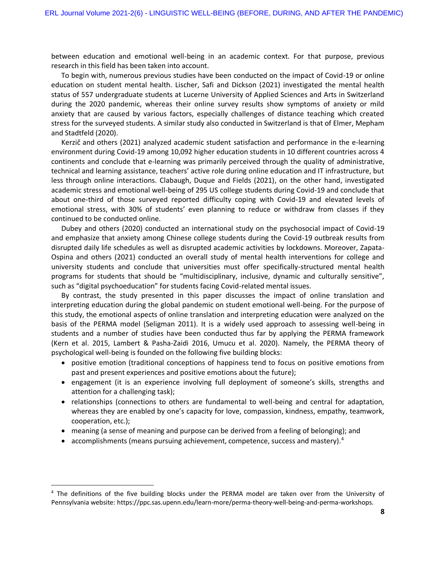between education and emotional well-being in an academic context. For that purpose, previous research in this field has been taken into account.

To begin with, numerous previous studies have been conducted on the impact of Covid-19 or online education on student mental health. Lischer, Safi and Dickson (2021) investigated the mental health status of 557 undergraduate students at Lucerne University of Applied Sciences and Arts in Switzerland during the 2020 pandemic, whereas their online survey results show symptoms of anxiety or mild anxiety that are caused by various factors, especially challenges of distance teaching which created stress for the surveyed students. A similar study also conducted in Switzerland is that of Elmer, Mepham and Stadtfeld (2020).

Kerzič and others (2021) analyzed academic student satisfaction and performance in the e-learning environment during Covid-19 among 10,092 higher education students in 10 different countries across 4 continents and conclude that e-learning was primarily perceived through the quality of administrative, technical and learning assistance, teachers' active role during online education and IT infrastructure, but less through online interactions. Clabaugh, Duque and Fields (2021), on the other hand, investigated academic stress and emotional well-being of 295 US college students during Covid-19 and conclude that about one-third of those surveyed reported difficulty coping with Covid-19 and elevated levels of emotional stress, with 30% of students' even planning to reduce or withdraw from classes if they continued to be conducted online.

Dubey and others (2020) conducted an international study on the psychosocial impact of Covid-19 and emphasize that anxiety among Chinese college students during the Covid-19 outbreak results from disrupted daily life schedules as well as disrupted academic activities by lockdowns. Moreover, Zapata-Ospina and others (2021) conducted an overall study of mental health interventions for college and university students and conclude that universities must offer specifically-structured mental health programs for students that should be "multidisciplinary, inclusive, dynamic and culturally sensitive", such as "digital psychoeducation" for students facing Covid-related mental issues.

By contrast, the study presented in this paper discusses the impact of online translation and interpreting education during the global pandemic on student emotional well-being. For the purpose of this study, the emotional aspects of online translation and interpreting education were analyzed on the basis of the PERMA model (Seligman 2011). It is a widely used approach to assessing well-being in students and a number of studies have been conducted thus far by applying the PERMA framework (Kern et al. 2015, Lambert & Pasha-Zaidi 2016, Umucu et al. 2020). Namely, the PERMA theory of psychological well-being is founded on the following five building blocks:

- positive emotion (traditional conceptions of happiness tend to focus on positive emotions from past and present experiences and positive emotions about the future);
- engagement (it is an experience involving full deployment of someone's skills, strengths and attention for a challenging task);
- relationships (connections to others are fundamental to well-being and central for adaptation, whereas they are enabled by one's capacity for love, compassion, kindness, empathy, teamwork, cooperation, etc.);
- meaning (a sense of meaning and purpose can be derived from a feeling of belonging); and
- accomplishments (means pursuing achievement, competence, success and mastery). $4$

 $\overline{a}$ 

<sup>4</sup> The definitions of the five building blocks under the PERMA model are taken over from the University of Pennsylvania website[: https://ppc.sas.upenn.edu/learn-more/perma-theory-well-being-and-perma-workshops.](https://ppc.sas.upenn.edu/learn-more/perma-theory-well-being-and-perma-workshops)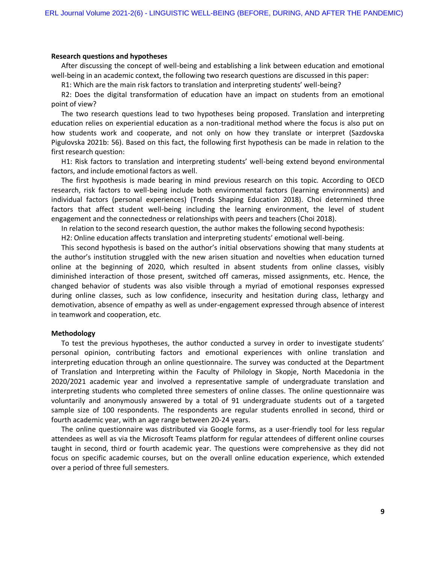#### **Research questions and hypotheses**

After discussing the concept of well-being and establishing a link between education and emotional well-being in an academic context, the following two research questions are discussed in this paper:

R1: Which are the main risk factors to translation and interpreting students' well-being?

R2: Does the digital transformation of education have an impact on students from an emotional point of view?

The two research questions lead to two hypotheses being proposed. Translation and interpreting education relies on experiential education as a non-traditional method where the focus is also put on how students work and cooperate, and not only on how they translate or interpret (Sazdovska Pigulovska 2021b: 56). Based on this fact, the following first hypothesis can be made in relation to the first research question:

H1: Risk factors to translation and interpreting students' well-being extend beyond environmental factors, and include emotional factors as well.

The first hypothesis is made bearing in mind previous research on this topic. According to OECD research, risk factors to well-being include both environmental factors (learning environments) and individual factors (personal experiences) (Trends Shaping Education 2018). Choi determined three factors that affect student well-being including the learning environment, the level of student engagement and the connectedness or relationships with peers and teachers (Choi 2018).

In relation to the second research question, the author makes the following second hypothesis:

H2: Online education affects translation and interpreting students' emotional well-being.

This second hypothesis is based on the author's initial observations showing that many students at the author's institution struggled with the new arisen situation and novelties when education turned online at the beginning of 2020, which resulted in absent students from online classes, visibly diminished interaction of those present, switched off cameras, missed assignments, etc. Hence, the changed behavior of students was also visible through a myriad of emotional responses expressed during online classes, such as low confidence, insecurity and hesitation during class, lethargy and demotivation, absence of empathy as well as under-engagement expressed through absence of interest in teamwork and cooperation, etc.

#### **Methodology**

To test the previous hypotheses, the author conducted a survey in order to investigate students' personal opinion, contributing factors and emotional experiences with online translation and interpreting education through an online questionnaire. The survey was conducted at the Department of Translation and Interpreting within the Faculty of Philology in Skopje, North Macedonia in the 2020/2021 academic year and involved a representative sample of undergraduate translation and interpreting students who completed three semesters of online classes. The online questionnaire was voluntarily and anonymously answered by a total of 91 undergraduate students out of a targeted sample size of 100 respondents. The respondents are regular students enrolled in second, third or fourth academic year, with an age range between 20-24 years.

The online questionnaire was distributed via Google forms, as a user-friendly tool for less regular attendees as well as via the Microsoft Teams platform for regular attendees of different online courses taught in second, third or fourth academic year. The questions were comprehensive as they did not focus on specific academic courses, but on the overall online education experience, which extended over a period of three full semesters.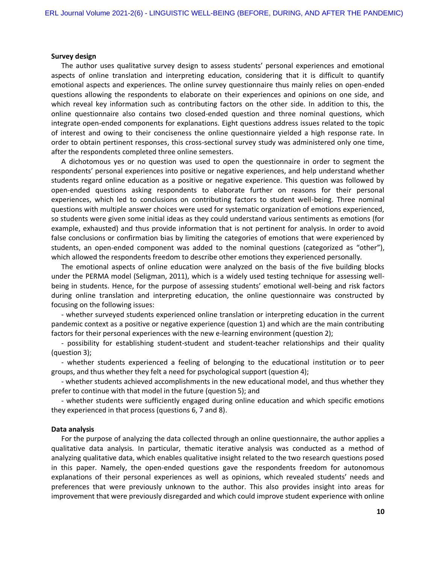#### **Survey design**

The author uses qualitative survey design to assess students' personal experiences and emotional aspects of online translation and interpreting education, considering that it is difficult to quantify emotional aspects and experiences. The online survey questionnaire thus mainly relies on open-ended questions allowing the respondents to elaborate on their experiences and opinions on one side, and which reveal key information such as contributing factors on the other side. In addition to this, the online questionnaire also contains two closed-ended question and three nominal questions, which integrate open-ended components for explanations. Eight questions address issues related to the topic of interest and owing to their conciseness the online questionnaire yielded a high response rate. In order to obtain pertinent responses, this cross-sectional survey study was administered only one time, after the respondents completed three online semesters.

A dichotomous yes or no question was used to open the questionnaire in order to segment the respondents' personal experiences into positive or negative experiences, and help understand whether students regard online education as a positive or negative experience. This question was followed by open-ended questions asking respondents to elaborate further on reasons for their personal experiences, which led to conclusions on contributing factors to student well-being. Three nominal questions with multiple answer choices were used for systematic organization of emotions experienced, so students were given some initial ideas as they could understand various sentiments as emotions (for example, exhausted) and thus provide information that is not pertinent for analysis. In order to avoid false conclusions or confirmation bias by limiting the categories of emotions that were experienced by students, an open-ended component was added to the nominal questions (categorized as "other"), which allowed the respondents freedom to describe other emotions they experienced personally.

The emotional aspects of online education were analyzed on the basis of the five building blocks under the PERMA model (Seligman, 2011), which is a widely used testing technique for assessing wellbeing in students. Hence, for the purpose of assessing students' emotional well-being and risk factors during online translation and interpreting education, the online questionnaire was constructed by focusing on the following issues:

- whether surveyed students experienced online translation or interpreting education in the current pandemic context as a positive or negative experience (question 1) and which are the main contributing factors for their personal experiences with the new e-learning environment (question 2);

- possibility for establishing student-student and student-teacher relationships and their quality (question 3);

- whether students experienced a feeling of belonging to the educational institution or to peer groups, and thus whether they felt a need for psychological support (question 4);

- whether students achieved accomplishments in the new educational model, and thus whether they prefer to continue with that model in the future (question 5); and

- whether students were sufficiently engaged during online education and which specific emotions they experienced in that process (questions 6, 7 and 8).

#### **Data analysis**

For the purpose of analyzing the data collected through an online questionnaire, the author applies a qualitative data analysis. In particular, thematic iterative analysis was conducted as a method of analyzing qualitative data, which enables qualitative insight related to the two research questions posed in this paper. Namely, the open-ended questions gave the respondents freedom for autonomous explanations of their personal experiences as well as opinions, which revealed students' needs and preferences that were previously unknown to the author. This also provides insight into areas for improvement that were previously disregarded and which could improve student experience with online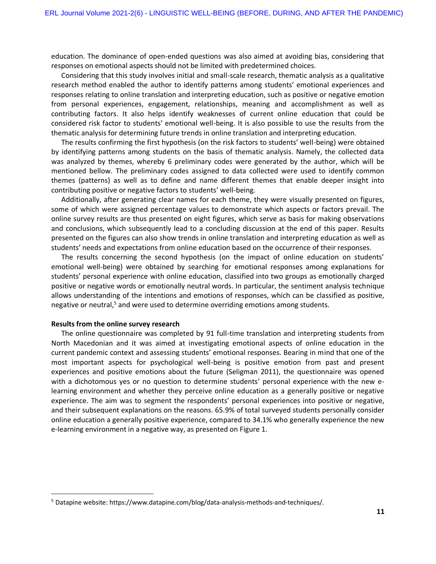education. The dominance of open-ended questions was also aimed at avoiding bias, considering that responses on emotional aspects should not be limited with predetermined choices.

Considering that this study involves initial and small-scale research, thematic analysis as a qualitative research method enabled the author to identify patterns among students' emotional experiences and responses relating to online translation and interpreting education, such as positive or negative emotion from personal experiences, engagement, relationships, meaning and accomplishment as well as contributing factors. It also helps identify weaknesses of current online education that could be considered risk factor to students' emotional well-being. It is also possible to use the results from the thematic analysis for determining future trends in online translation and interpreting education.

The results confirming the first hypothesis (on the risk factors to students' well-being) were obtained by identifying patterns among students on the basis of thematic analysis. Namely, the collected data was analyzed by themes, whereby 6 preliminary codes were generated by the author, which will be mentioned bellow. The preliminary codes assigned to data collected were used to identify common themes (patterns) as well as to define and name different themes that enable deeper insight into contributing positive or negative factors to students' well-being.

Additionally, after generating clear names for each theme, they were visually presented on figures, some of which were assigned percentage values to demonstrate which aspects or factors prevail. The online survey results are thus presented on eight figures, which serve as basis for making observations and conclusions, which subsequently lead to a concluding discussion at the end of this paper. Results presented on the figures can also show trends in online translation and interpreting education as well as students' needs and expectations from online education based on the occurrence of their responses.

The results concerning the second hypothesis (on the impact of online education on students' emotional well-being) were obtained by searching for emotional responses among explanations for students' personal experience with online education, classified into two groups as emotionally charged positive or negative words or emotionally neutral words. In particular, the sentiment analysis technique allows understanding of the intentions and emotions of responses, which can be classified as positive, negative or neutral,<sup>5</sup> and were used to determine overriding emotions among students.

## **Results from the online survey research**

 $\overline{\phantom{a}}$ 

The online questionnaire was completed by 91 full-time translation and interpreting students from North Macedonian and it was aimed at investigating emotional aspects of online education in the current pandemic context and assessing students' emotional responses. Bearing in mind that one of the most important aspects for psychological well-being is positive emotion from past and present experiences and positive emotions about the future (Seligman 2011), the questionnaire was opened with a dichotomous yes or no question to determine students' personal experience with the new elearning environment and whether they perceive online education as a generally positive or negative experience. The aim was to segment the respondents' personal experiences into positive or negative, and their subsequent explanations on the reasons. 65.9% of total surveyed students personally consider online education a generally positive experience, compared to 34.1% who generally experience the new e-learning environment in a negative way, as presented on Figure 1.

<sup>5</sup> Datapine website[: https://www.datapine.com/blog/data-analysis-methods-and-techniques/.](https://www.datapine.com/blog/data-analysis-methods-and-techniques/)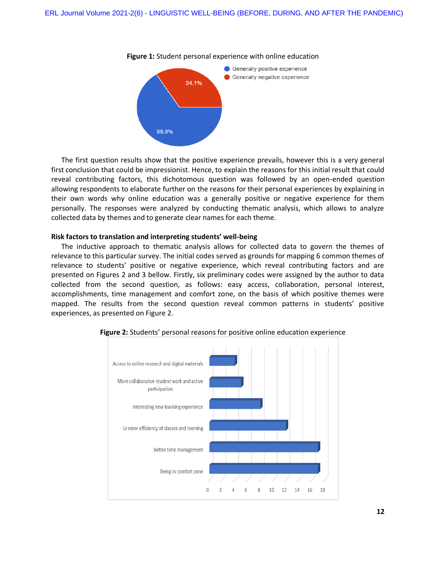

# **Figure 1:** Student personal experience with online education

The first question results show that the positive experience prevails, however this is a very general first conclusion that could be impressionist. Hence, to explain the reasons for this initial result that could reveal contributing factors, this dichotomous question was followed by an open-ended question allowing respondents to elaborate further on the reasons for their personal experiences by explaining in their own words why online education was a generally positive or negative experience for them personally. The responses were analyzed by conducting thematic analysis, which allows to analyze collected data by themes and to generate clear names for each theme.

## **Risk factors to translation and interpreting students' well-being**

The inductive approach to thematic analysis allows for collected data to govern the themes of relevance to this particular survey. The initial codes served as grounds for mapping 6 common themes of relevance to students' positive or negative experience, which reveal contributing factors and are presented on Figures 2 and 3 bellow. Firstly, six preliminary codes were assigned by the author to data collected from the second question, as follows: easy access, collaboration, personal interest, accomplishments, time management and comfort zone, on the basis of which positive themes were mapped. The results from the second question reveal common patterns in students' positive experiences, as presented on Figure 2.



**Figure 2:** Students' personal reasons for positive online education experience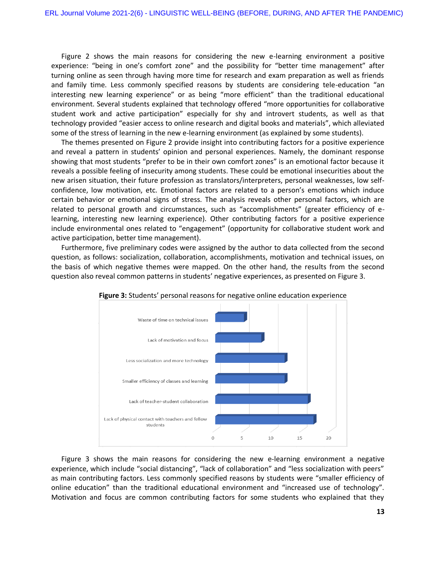Figure 2 shows the main reasons for considering the new e-learning environment a positive experience: "being in one's comfort zone" and the possibility for "better time management" after turning online as seen through having more time for research and exam preparation as well as friends and family time. Less commonly specified reasons by students are considering tele-education "an interesting new learning experience" or as being "more efficient" than the traditional educational environment. Several students explained that technology offered "more opportunities for collaborative student work and active participation" especially for shy and introvert students, as well as that technology provided "easier access to online research and digital books and materials", which alleviated some of the stress of learning in the new e-learning environment (as explained by some students).

The themes presented on Figure 2 provide insight into contributing factors for a positive experience and reveal a pattern in students' opinion and personal experiences. Namely, the dominant response showing that most students "prefer to be in their own comfort zones" is an emotional factor because it reveals a possible feeling of insecurity among students. These could be emotional insecurities about the new arisen situation, their future profession as translators/interpreters, personal weaknesses, low selfconfidence, low motivation, etc. Emotional factors are related to a person's emotions which induce certain behavior or emotional signs of stress. The analysis reveals other personal factors, which are related to personal growth and circumstances, such as "accomplishments" (greater efficiency of elearning, interesting new learning experience). Other contributing factors for a positive experience include environmental ones related to "engagement" (opportunity for collaborative student work and active participation, better time management).

Furthermore, five preliminary codes were assigned by the author to data collected from the second question, as follows: socialization, collaboration, accomplishments, motivation and technical issues, on the basis of which negative themes were mapped. On the other hand, the results from the second question also reveal common patterns in students' negative experiences, as presented on Figure 3.



**Figure 3:** Students' personal reasons for negative online education experience

Figure 3 shows the main reasons for considering the new e-learning environment a negative experience, which include "social distancing", "lack of collaboration" and "less socialization with peers" as main contributing factors. Less commonly specified reasons by students were "smaller efficiency of online education" than the traditional educational environment and "increased use of technology". Motivation and focus are common contributing factors for some students who explained that they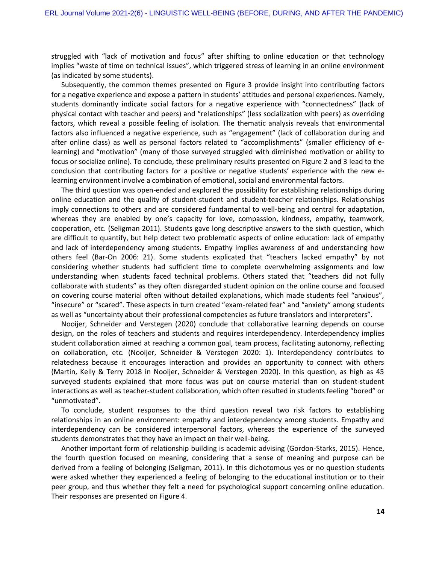struggled with "lack of motivation and focus" after shifting to online education or that technology implies "waste of time on technical issues", which triggered stress of learning in an online environment (as indicated by some students).

Subsequently, the common themes presented on Figure 3 provide insight into contributing factors for a negative experience and expose a pattern in students' attitudes and personal experiences. Namely, students dominantly indicate social factors for a negative experience with "connectedness" (lack of physical contact with teacher and peers) and "relationships" (less socialization with peers) as overriding factors, which reveal a possible feeling of isolation. The thematic analysis reveals that environmental factors also influenced a negative experience, such as "engagement" (lack of collaboration during and after online class) as well as personal factors related to "accomplishments" (smaller efficiency of elearning) and "motivation" (many of those surveyed struggled with diminished motivation or ability to focus or socialize online). To conclude, these preliminary results presented on Figure 2 and 3 lead to the conclusion that contributing factors for a positive or negative students' experience with the new elearning environment involve a combination of emotional, social and environmental factors.

The third question was open-ended and explored the possibility for establishing relationships during online education and the quality of student-student and student-teacher relationships. Relationships imply connections to others and are considered fundamental to well-being and central for adaptation, whereas they are enabled by one's capacity for love, compassion, kindness, empathy, teamwork, cooperation, etc. (Seligman 2011). Students gave long descriptive answers to the sixth question, which are difficult to quantify, but help detect two problematic aspects of online education: lack of empathy and lack of interdependency among students. Empathy implies awareness of and understanding how others feel (Bar-On 2006: 21). Some students explicated that "teachers lacked empathy" by not considering whether students had sufficient time to complete overwhelming assignments and low understanding when students faced technical problems. Others stated that "teachers did not fully collaborate with students" as they often disregarded student opinion on the online course and focused on covering course material often without detailed explanations, which made students feel "anxious", "insecure" or "scared". These aspects in turn created "exam-related fear" and "anxiety" among students as well as "uncertainty about their professional competencies as future translators and interpreters".

Nooijer, Schneider and Verstegen (2020) conclude that collaborative learning depends on course design, on the roles of teachers and students and requires interdependency. Interdependency implies student collaboration aimed at reaching a common goal, team process, facilitating autonomy, reflecting on collaboration, etc. (Nooijer, Schneider & Verstegen 2020: 1). Interdependency contributes to relatedness because it encourages interaction and provides an opportunity to connect with others (Martin, Kelly & Terry 2018 in Nooijer, Schneider & Verstegen 2020). In this question, as high as 45 surveyed students explained that more focus was put on course material than on student-student interactions as well as teacher-student collaboration, which often resulted in students feeling "bored" or "unmotivated".

To conclude, student responses to the third question reveal two risk factors to establishing relationships in an online environment: empathy and interdependency among students. Empathy and interdependency can be considered interpersonal factors, whereas the experience of the surveyed students demonstrates that they have an impact on their well-being.

Another important form of relationship building is academic advising (Gordon-Starks, 2015). Hence, the fourth question focused on meaning, considering that a sense of meaning and purpose can be derived from a feeling of belonging (Seligman, 2011). In this dichotomous yes or no question students were asked whether they experienced a feeling of belonging to the educational institution or to their peer group, and thus whether they felt a need for psychological support concerning online education. Their responses are presented on Figure 4.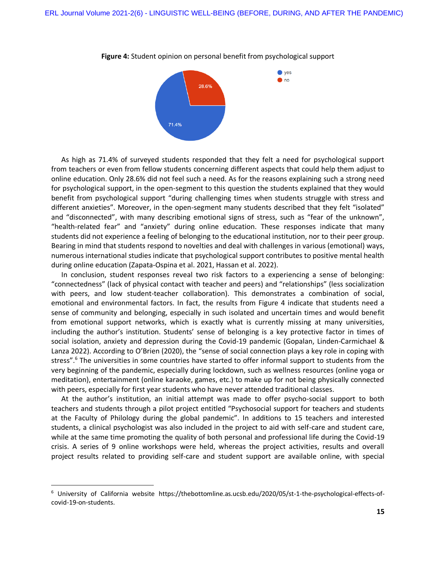

**Figure 4:** Student opinion on personal benefit from psychological support

As high as 71.4% of surveyed students responded that they felt a need for psychological support from teachers or even from fellow students concerning different aspects that could help them adjust to online education. Only 28.6% did not feel such a need. As for the reasons explaining such a strong need for psychological support, in the open-segment to this question the students explained that they would benefit from psychological support "during challenging times when students struggle with stress and different anxieties". Moreover, in the open-segment many students described that they felt "isolated" and "disconnected", with many describing emotional signs of stress, such as "fear of the unknown", "health-related fear" and "anxiety" during online education. These responses indicate that many students did not experience a feeling of belonging to the educational institution, nor to their peer group. Bearing in mind that students respond to novelties and deal with challenges in various (emotional) ways, numerous international studies indicate that psychological support contributes to positive mental health during online education (Zapata-Ospina et al. 2021, Hassan et al. 2022).

In conclusion, student responses reveal two risk factors to a experiencing a sense of belonging: "connectedness" (lack of physical contact with teacher and peers) and "relationships" (less socialization with peers, and low student-teacher collaboration). This demonstrates a combination of social, emotional and environmental factors. In fact, the results from Figure 4 indicate that students need a sense of community and belonging, especially in such isolated and uncertain times and would benefit from emotional support networks, which is exactly what is currently missing at many universities, including the author's institution. Students' sense of belonging is a key protective factor in times of social isolation, anxiety and depression during the Covid-19 pandemic (Gopalan, Linden-Carmichael & Lanza 2022). According to O'Brien (2020), the "sense of social connection plays a key role in coping with stress".<sup>6</sup> The universities in some countries have started to offer informal support to students from the very beginning of the pandemic, especially during lockdown, such as wellness resources (online yoga or meditation), entertainment (online karaoke, games, etc.) to make up for not being physically connected with peers, especially for first year students who have never attended traditional classes.

At the author's institution, an initial attempt was made to offer psycho-social support to both teachers and students through a pilot project entitled "Psychosocial support for teachers and students at the Faculty of Philology during the global pandemic". In additions to 15 teachers and interested students, a clinical psychologist was also included in the project to aid with self-care and student care, while at the same time promoting the quality of both personal and professional life during the Covid-19 crisis. A series of 9 online workshops were held, whereas the project activities, results and overall project results related to providing self-care and student support are available online, with special

 $\overline{a}$ 

<sup>6</sup> University of California website [https://thebottomline.as.ucsb.edu/2020/05/st-1-the-psychological-effects-of](https://thebottomline.as.ucsb.edu/2020/05/st-1-the-psychological-effects-of-covid-19-on-students)[covid-19-on-students.](https://thebottomline.as.ucsb.edu/2020/05/st-1-the-psychological-effects-of-covid-19-on-students)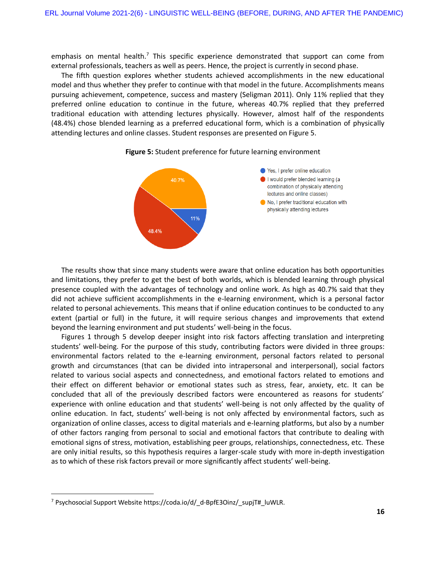emphasis on mental health.<sup>7</sup> This specific experience demonstrated that support can come from external professionals, teachers as well as peers. Hence, the project is currently in second phase.

The fifth question explores whether students achieved accomplishments in the new educational model and thus whether they prefer to continue with that model in the future. Accomplishments means pursuing achievement, competence, success and mastery (Seligman 2011). Only 11% replied that they preferred online education to continue in the future, whereas 40.7% replied that they preferred traditional education with attending lectures physically. However, almost half of the respondents (48.4%) chose blended learning as a preferred educational form, which is a combination of physically attending lectures and online classes. Student responses are presented on Figure 5.



# **Figure 5:** Student preference for future learning environment

The results show that since many students were aware that online education has both opportunities and limitations, they prefer to get the best of both worlds, which is blended learning through physical presence coupled with the advantages of technology and online work. As high as 40.7% said that they did not achieve sufficient accomplishments in the e-learning environment, which is a personal factor related to personal achievements. This means that if online education continues to be conducted to any extent (partial or full) in the future, it will require serious changes and improvements that extend beyond the learning environment and put students' well-being in the focus.

Figures 1 through 5 develop deeper insight into risk factors affecting translation and interpreting students' well-being. For the purpose of this study, contributing factors were divided in three groups: environmental factors related to the e-learning environment, personal factors related to personal growth and circumstances (that can be divided into intrapersonal and interpersonal), social factors related to various social aspects and connectedness, and emotional factors related to emotions and their effect on different behavior or emotional states such as stress, fear, anxiety, etc. It can be concluded that all of the previously described factors were encountered as reasons for students' experience with online education and that students' well-being is not only affected by the quality of online education. In fact, students' well-being is not only affected by environmental factors, such as organization of online classes, access to digital materials and e-learning platforms, but also by a number of other factors ranging from personal to social and emotional factors that contribute to dealing with emotional signs of stress, motivation, establishing peer groups, relationships, connectedness, etc. These are only initial results, so this hypothesis requires a larger-scale study with more in-depth investigation as to which of these risk factors prevail or more significantly affect students' well-being.

 $\overline{\phantom{a}}$ 

<sup>7</sup> Psychosocial Support Websit[e https://coda.io/d/\\_d-BpfE3Oinz/\\_supjT#\\_luWLR.](https://coda.io/d/_d-BpfE3Oinz/_supjT#_luWLR)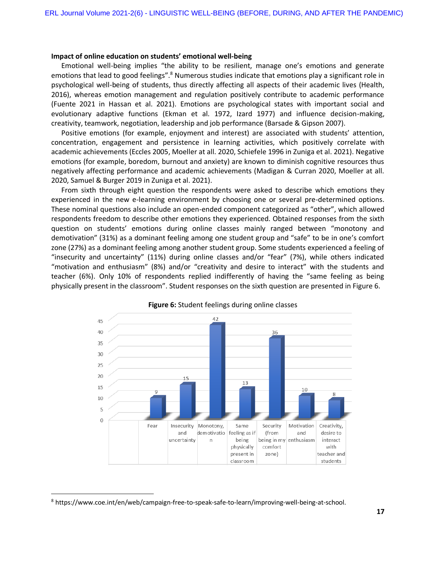#### **Impact of online education on students' emotional well-being**

Emotional well-being implies "the ability to be resilient, manage one's emotions and generate emotions that lead to good feelings".<sup>8</sup> Numerous studies indicate that emotions play a significant role in psychological well-being of students, thus directly affecting all aspects of their academic lives (Health, 2016), whereas emotion management and regulation positively contribute to academic performance (Fuente 2021 in Hassan et al. 2021). Emotions are psychological states with important social and evolutionary adaptive functions (Ekman et al. 1972, Izard 1977) and influence decision-making, creativity, teamwork, negotiation, leadership and job performance (Barsade & Gipson 2007).

Positive emotions (for example, enjoyment and interest) are associated with students' attention, concentration, engagement and persistence in learning activities, which positively correlate with academic achievements (Eccles 2005, Moeller at all. 2020, Schiefele 1996 in Zuniga et al. 2021). Negative emotions (for example, boredom, burnout and anxiety) are known to diminish cognitive resources thus negatively affecting performance and academic achievements (Madigan & Curran 2020, Moeller at all. 2020, Samuel & Burger 2019 in Zuniga et al. 2021).

From sixth through eight question the respondents were asked to describe which emotions they experienced in the new e-learning environment by choosing one or several pre-determined options. These nominal questions also include an open-ended component categorized as "other", which allowed respondents freedom to describe other emotions they experienced. Obtained responses from the sixth question on students' emotions during online classes mainly ranged between "monotony and demotivation" (31%) as a dominant feeling among one student group and "safe" to be in one's comfort zone (27%) as a dominant feeling among another student group. Some students experienced a feeling of "insecurity and uncertainty" (11%) during online classes and/or "fear" (7%), while others indicated "motivation and enthusiasm" (8%) and/or "creativity and desire to interact" with the students and teacher (6%). Only 10% of respondents replied indifferently of having the "same feeling as being physically present in the classroom". Student responses on the sixth question are presented in Figure 6.





 $\overline{\phantom{a}}$ 

<sup>8</sup> [https://www.coe.int/en/web/campaign-free-to-speak-safe-to-learn/improving-well-being-at-school.](https://www.coe.int/en/web/campaign-free-to-speak-safe-to-learn/improving-well-being-at-school)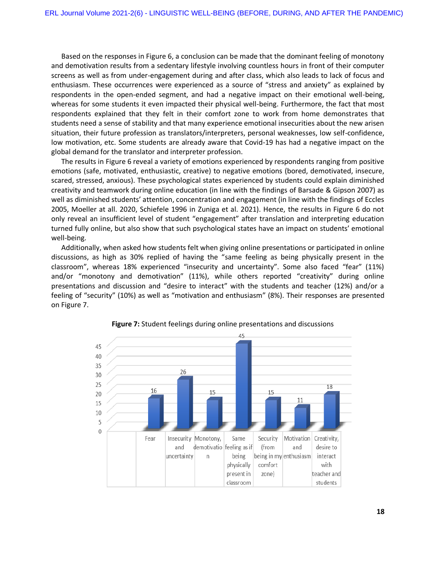Based on the responses in Figure 6, a conclusion can be made that the dominant feeling of monotony and demotivation results from a sedentary lifestyle involving countless hours in front of their computer screens as well as from under-engagement during and after class, which also leads to lack of focus and enthusiasm. These occurrences were experienced as a source of "stress and anxiety" as explained by respondents in the open-ended segment, and had a negative impact on their emotional well-being, whereas for some students it even impacted their physical well-being. Furthermore, the fact that most respondents explained that they felt in their comfort zone to work from home demonstrates that students need a sense of stability and that many experience emotional insecurities about the new arisen situation, their future profession as translators/interpreters, personal weaknesses, low self-confidence, low motivation, etc. Some students are already aware that Covid-19 has had a negative impact on the global demand for the translator and interpreter profession.

The results in Figure 6 reveal a variety of emotions experienced by respondents ranging from positive emotions (safe, motivated, enthusiastic, creative) to negative emotions (bored, demotivated, insecure, scared, stressed, anxious). These psychological states experienced by students could explain diminished creativity and teamwork during online education (in line with the findings of Barsade & Gipson 2007) as well as diminished students' attention, concentration and engagement (in line with the findings of Eccles 2005, Moeller at all. 2020, Schiefele 1996 in Zuniga et al. 2021). Hence, the results in Figure 6 do not only reveal an insufficient level of student "engagement" after translation and interpreting education turned fully online, but also show that such psychological states have an impact on students' emotional well-being.

Additionally, when asked how students felt when giving online presentations or participated in online discussions, as high as 30% replied of having the "same feeling as being physically present in the classroom", whereas 18% experienced "insecurity and uncertainty". Some also faced "fear" (11%) and/or "monotony and demotivation" (11%), while others reported "creativity" during online presentations and discussion and "desire to interact" with the students and teacher (12%) and/or a feeling of "security" (10%) as well as "motivation and enthusiasm" (8%). Their responses are presented on Figure 7.



**Figure 7:** Student feelings during online presentations and discussions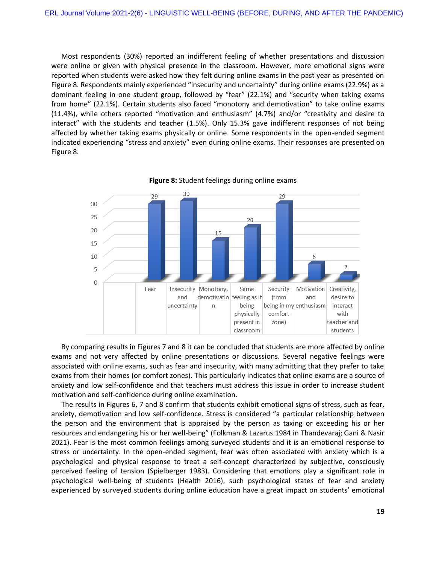Most respondents (30%) reported an indifferent feeling of whether presentations and discussion were online or given with physical presence in the classroom. However, more emotional signs were reported when students were asked how they felt during online exams in the past year as presented on Figure 8. Respondents mainly experienced "insecurity and uncertainty" during online exams (22.9%) as a dominant feeling in one student group, followed by "fear" (22.1%) and "security when taking exams from home" (22.1%). Certain students also faced "monotony and demotivation" to take online exams (11.4%), while others reported "motivation and enthusiasm" (4.7%) and/or "creativity and desire to interact" with the students and teacher (1.5%). Only 15.3% gave indifferent responses of not being affected by whether taking exams physically or online. Some respondents in the open-ended segment indicated experiencing "stress and anxiety" even during online exams. Their responses are presented on Figure 8.





By comparing results in Figures 7 and 8 it can be concluded that students are more affected by online exams and not very affected by online presentations or discussions. Several negative feelings were associated with online exams, such as fear and insecurity, with many admitting that they prefer to take exams from their homes (or comfort zones). This particularly indicates that online exams are a source of anxiety and low self-confidence and that teachers must address this issue in order to increase student motivation and self-confidence during online examination.

The results in Figures 6, 7 and 8 confirm that students exhibit emotional signs of stress, such as fear, anxiety, demotivation and low self-confidence. Stress is considered "a particular relationship between the person and the environment that is appraised by the person as taxing or exceeding his or her resources and endangering his or her well-being" (Folkman & Lazarus 1984 in [Thandevaraj;](https://www.scirp.org/journal/articles.aspx?searchcode=Enba+J.++Thandevaraj&searchfield=authors&page=1) Gani & Nasir 2021). Fear is the most common feelings among surveyed students and it is an emotional response to stress or uncertainty. In the open-ended segment, fear was often associated with anxiety which is a psychological and physical response to treat a self-concept characterized by subjective, consciously perceived feeling of tension (Spielberger 1983). Considering that emotions play a significant role in psychological well-being of students (Health 2016), such psychological states of fear and anxiety experienced by surveyed students during online education have a great impact on students' emotional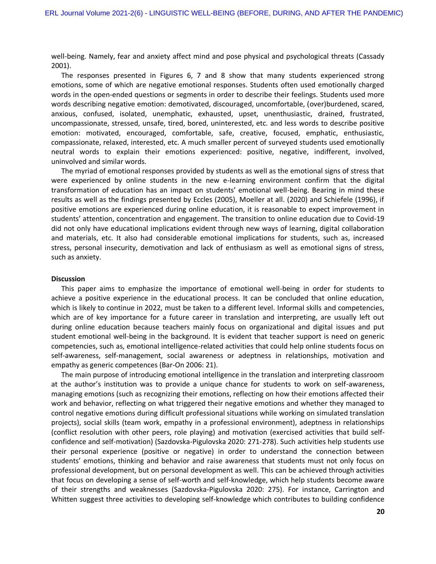well-being. Namely, fear and anxiety affect mind and pose physical and psychological threats (Cassady 2001).

The responses presented in Figures 6, 7 and 8 show that many students experienced strong emotions, some of which are negative emotional responses. Students often used emotionally charged words in the open-ended questions or segments in order to describe their feelings. Students used more words describing negative emotion: demotivated, discouraged, uncomfortable, (over)burdened, scared, anxious, confused, isolated, unemphatic, exhausted, upset, unenthusiastic, drained, frustrated, uncompassionate, stressed, unsafe, tired, bored, uninterested, etc. and less words to describe positive emotion: motivated, encouraged, comfortable, safe, creative, focused, emphatic, enthusiastic, compassionate, relaxed, interested, etc. A much smaller percent of surveyed students used emotionally neutral words to explain their emotions experienced: positive, negative, indifferent, involved, uninvolved and similar words.

The myriad of emotional responses provided by students as well as the emotional signs of stress that were experienced by online students in the new e-learning environment confirm that the digital transformation of education has an impact on students' emotional well-being. Bearing in mind these results as well as the findings presented by Eccles (2005), Moeller at all. (2020) and Schiefele (1996), if positive emotions are experienced during online education, it is reasonable to expect improvement in students' attention, concentration and engagement. The transition to online education due to Covid-19 did not only have educational implications evident through new ways of learning, digital collaboration and materials, etc. It also had considerable emotional implications for students, such as, increased stress, personal insecurity, demotivation and lack of enthusiasm as well as emotional signs of stress, such as anxiety.

## **Discussion**

This paper aims to emphasize the importance of emotional well-being in order for students to achieve a positive experience in the educational process. It can be concluded that online education, which is likely to continue in 2022, must be taken to a different level. Informal skills and competencies, which are of key importance for a future career in translation and interpreting, are usually left out during online education because teachers mainly focus on organizational and digital issues and put student emotional well-being in the background. It is evident that teacher support is need on generic competencies, such as, emotional intelligence-related activities that could help online students focus on self-awareness, self-management, social awareness or adeptness in relationships, motivation and empathy as generic competences (Bar-On 2006: 21).

The main purpose of introducing emotional intelligence in the translation and interpreting classroom at the author's institution was to provide a unique chance for students to work on self-awareness, managing emotions (such as recognizing their emotions, reflecting on how their emotions affected their work and behavior, reflecting on what triggered their negative emotions and whether they managed to control negative emotions during difficult professional situations while working on simulated translation projects), social skills (team work, empathy in a professional environment), adeptness in relationships (conflict resolution with other peers, role playing) and motivation (exercised activities that build selfconfidence and self-motivation) (Sazdovska-Pigulovska 2020: 271-278). Such activities help students use their personal experience (positive or negative) in order to understand the connection between students' emotions, thinking and behavior and raise awareness that students must not only focus on professional development, but on personal development as well. This can be achieved through activities that focus on developing a sense of self-worth and self-knowledge, which help students become aware of their strengths and weaknesses (Sazdovska-Pigulovska 2020: 275). For instance, Carrington and Whitten suggest three activities to developing self-knowledge which contributes to building confidence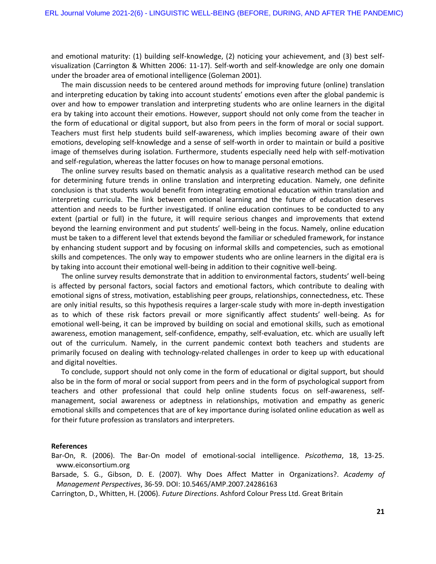and emotional maturity: (1) building self-knowledge, (2) noticing your achievement, and (3) best selfvisualization (Carrington & Whitten 2006: 11-17). Self-worth and self-knowledge are only one domain under the broader area of emotional intelligence (Goleman 2001).

The main discussion needs to be centered around methods for improving future (online) translation and interpreting education by taking into account students' emotions even after the global pandemic is over and how to empower translation and interpreting students who are online learners in the digital era by taking into account their emotions. However, support should not only come from the teacher in the form of educational or digital support, but also from peers in the form of moral or social support. Teachers must first help students build self-awareness, which implies becoming aware of their own emotions, developing self-knowledge and a sense of self-worth in order to maintain or build a positive image of themselves during isolation. Furthermore, students especially need help with self-motivation and self-regulation, whereas the latter focuses on how to manage personal emotions.

The online survey results based on thematic analysis as a qualitative research method can be used for determining future trends in online translation and interpreting education. Namely, one definite conclusion is that students would benefit from integrating emotional education within translation and interpreting curricula. The link between emotional learning and the future of education deserves attention and needs to be further investigated. If online education continues to be conducted to any extent (partial or full) in the future, it will require serious changes and improvements that extend beyond the learning environment and put students' well-being in the focus. Namely, online education must be taken to a different level that extends beyond the familiar or scheduled framework, for instance by enhancing student support and by focusing on informal skills and competencies, such as emotional skills and competences. The only way to empower students who are online learners in the digital era is by taking into account their emotional well-being in addition to their cognitive well-being.

The online survey results demonstrate that in addition to environmental factors, students' well-being is affected by personal factors, social factors and emotional factors, which contribute to dealing with emotional signs of stress, motivation, establishing peer groups, relationships, connectedness, etc. These are only initial results, so this hypothesis requires a larger-scale study with more in-depth investigation as to which of these risk factors prevail or more significantly affect students' well-being. As for emotional well-being, it can be improved by building on social and emotional skills, such as emotional awareness, emotion management, self-confidence, empathy, self-evaluation, etc. which are usually left out of the curriculum. Namely, in the current pandemic context both teachers and students are primarily focused on dealing with technology-related challenges in order to keep up with educational and digital novelties.

To conclude, support should not only come in the form of educational or digital support, but should also be in the form of moral or social support from peers and in the form of psychological support from teachers and other professional that could help online students focus on self-awareness, selfmanagement, social awareness or adeptness in relationships, motivation and empathy as generic emotional skills and competences that are of key importance during isolated online education as well as for their future profession as translators and interpreters.

## **References**

Bar-On, R. (2006). The Bar-On model of emotional-social intelligence. *Psicothema*, 18, 13-25. www.eiconsortium.org

Barsade, S. G., Gibson, D. E. (2007). Why Does Affect Matter in Organizations?. *Academy of Management Perspectives*, 36-59. DOI: 10.5465/AMP.2007.24286163

Carrington, D., Whitten, H. (2006). *Future Directions*. Ashford Colour Press Ltd. Great Britain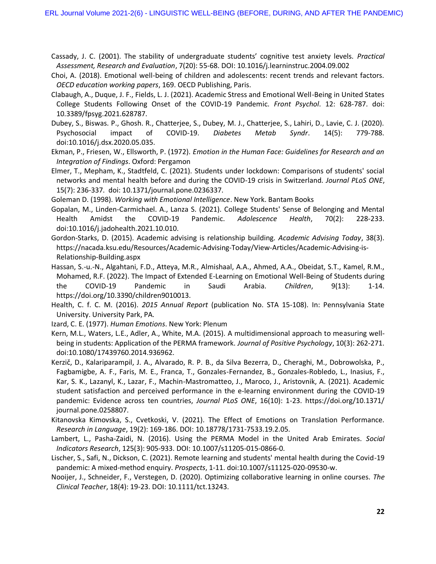- Cassady, J. C. (2001). The stability of undergraduate students' cognitive test anxiety levels. *Practical Assessment, Research and Evaluation*, 7(20): 55-68. DOI: 10.1016/j.learninstruc.2004.09.002
- Choi, A. (2018). Emotional well-being of children and adolescents: recent trends and relevant factors. *OECD education working papers*, 169. OECD Publishing, Paris.
- Clabaugh, A., Duque, J. F., Fields, L. J. (2021). Academic Stress and Emotional Well-Being in United States College Students Following Onset of the COVID-19 Pandemic. *Front Psychol*. 12: 628-787. doi: 10.3389/fpsyg.2021.628787.
- Dubey, S., Biswas. P., Ghosh. R., Chatterjee, S., Dubey, M. J., Chatterjee, S., Lahiri, D., Lavie, C. J. (2020). Psychosocial impact of COVID-19. *Diabetes Metab Syndr*. 14(5): 779-788. doi:10.1016/j.dsx.2020.05.035.
- Ekman, P., Friesen, W., Ellsworth, P. (1972). *Emotion in the Human Face: Guidelines for Research and an Integration of Findings*. Oxford: Pergamon
- Elmer, T., Mepham, K., Stadtfeld, C. (2021). Students under lockdown: Comparisons of students' social networks and mental health before and during the COVID-19 crisis in Switzerland. *Journal PLoS ONE*, 15(7): 236-337. doi: 10.1371/journal.pone.0236337.
- Goleman D. (1998). *Working with Emotional Intelligence*. New York. Bantam Books
- Gopalan, M., Linden-Carmichael. A., Lanza S. (2021). College Students' Sense of Belonging and Mental Health Amidst the COVID-19 Pandemic. *Adolescence Health*, 70(2): 228-233. doi:10.1016/j.jadohealth.2021.10.010.
- Gordon-Starks, D. (2015). Academic advising is relationship building. *Academic Advising Today*, 38(3). https://nacada.ksu.edu/Resources/Academic-Advising-Today/View-Articles/Academic-Advising-is-Relationship-Building.aspx
- Hassan, S.-u.-N., Algahtani, F.D., Atteya, M.R., Almishaal, A.A., Ahmed, A.A., Obeidat, S.T., Kamel, R.M., Mohamed, R.F. (2022). The Impact of Extended E-Learning on Emotional Well-Being of Students during the COVID-19 Pandemic in Saudi Arabia. *Children*, 9(13): 1-14. https://doi.org/10.3390/children9010013.
- Health, C. f. C. M. (2016). *2015 Annual Report* (publication No. STA 15-108). In: Pennsylvania State University. University Park, PA.
- Izard, C. E. (1977). *Human Emotions*. New York: Plenum
- Kern, M.L., Waters, L.E., Adler, A., White, M.A. (2015). A multidimensional approach to measuring wellbeing in students: Application of the PERMA framework. *Journal of Positive Psychology*, 10(3): 262-271. doi:10.1080/17439760.2014.936962.
- Kerzič, D., Kalariparampil, J. A., Alvarado, R. P. B., da Silva Bezerra, D., Cheraghi, M., Dobrowolska, P., Fagbamigbe, A. F., Faris, M. E., Franca, T., Gonzales-Fernandez, B., Gonzales-Robledo, L., Inasius, F., Kar, S. K., Lazanyl, K., Lazar, F., Machin-Mastromatteo, J., Maroco, J., Aristovnik, A. (2021). Academic student satisfaction and perceived performance in the e-learning environment during the COVID-19 pandemic: Evidence across ten countries, *Journal PLoS ONE*, 16(10): 1-23. https://doi.org/10.1371/ journal.pone.0258807.
- Kitanovska Kimovska, S., Cvetkoski, V. (2021). The Effect of Emotions on Translation Performance. *Research in Language*, 19(2): 169-186. DOI: 10.18778/1731-7533.19.2.05.
- Lambert, L., Pasha-Zaidi, N. (2016). Using the PERMA Model in the United Arab Emirates. *Social Indicators Research*, 125(3): 905-933. DOI: 10.1007/s11205-015-0866-0.
- Lischer, S., Safi, N., Dickson, C. (2021). Remote learning and students' mental health during the Covid-19 pandemic: A mixed-method enquiry. *Prospects*, 1-11. doi:10.1007/s11125-020-09530-w.
- Nooijer, J., Schneider, F., Verstegen, D. (2020). Optimizing collaborative learning in online courses. *The Clinical Teacher*, 18(4): 19-23. DOI: 10.1111/tct.13243.